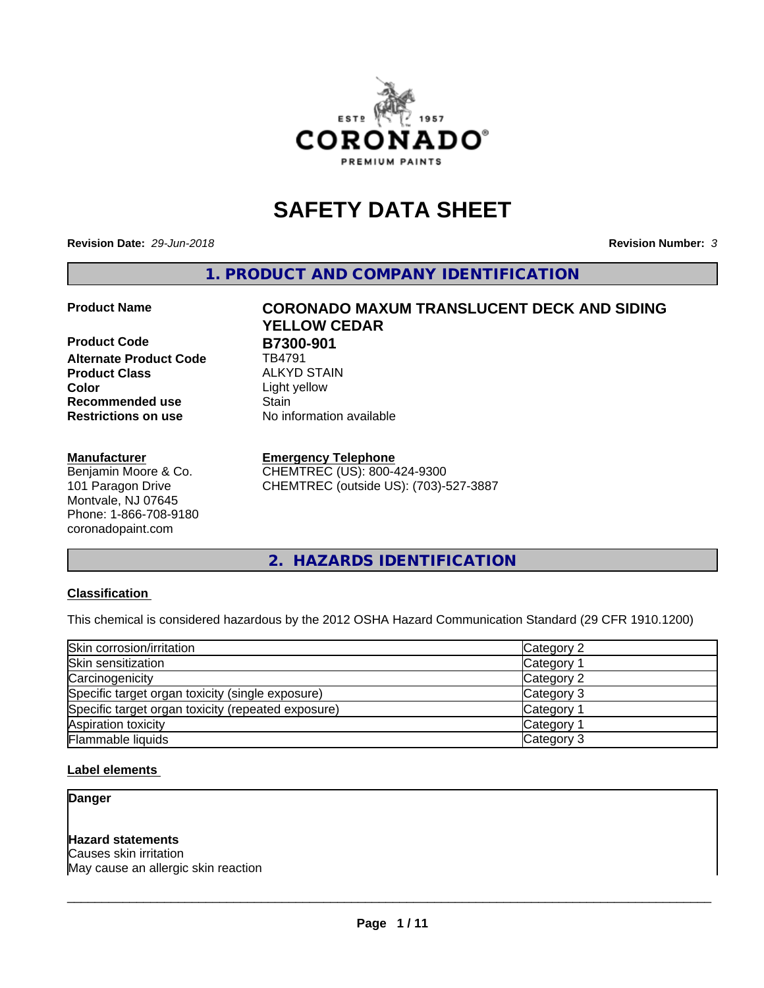

# **SAFETY DATA SHEET**

**Revision Date:** *29-Jun-2018* **Revision Number:** *3*

**1. PRODUCT AND COMPANY IDENTIFICATION**

**Product Code B7300-901**<br>Alternate Product Code **BA791 Alternate Product Code Product Class** ALKYD STAIN<br> **Color** Light vellow **Recommended use Stain Restrictions on use** No information available

#### **Manufacturer**

Benjamin Moore & Co. 101 Paragon Drive Montvale, NJ 07645 Phone: 1-866-708-9180 coronadopaint.com

# **Product Name CORONADO MAXUM TRANSLUCENT DECK AND SIDING YELLOW CEDAR Color** Light yellow

#### **Emergency Telephone**

CHEMTREC (US): 800-424-9300 CHEMTREC (outside US): (703)-527-3887

**2. HAZARDS IDENTIFICATION**

#### **Classification**

This chemical is considered hazardous by the 2012 OSHA Hazard Communication Standard (29 CFR 1910.1200)

| Skin corrosion/irritation                          | Category 2            |
|----------------------------------------------------|-----------------------|
| Skin sensitization                                 | Category <sup>2</sup> |
| Carcinogenicity                                    | Category 2            |
| Specific target organ toxicity (single exposure)   | Category 3            |
| Specific target organ toxicity (repeated exposure) | Category 1            |
| Aspiration toxicity                                | <b>Category 1</b>     |
| <b>Flammable liquids</b>                           | Category 3            |

#### **Label elements**

**Danger**

#### **Hazard statements**

Causes skin irritation May cause an allergic skin reaction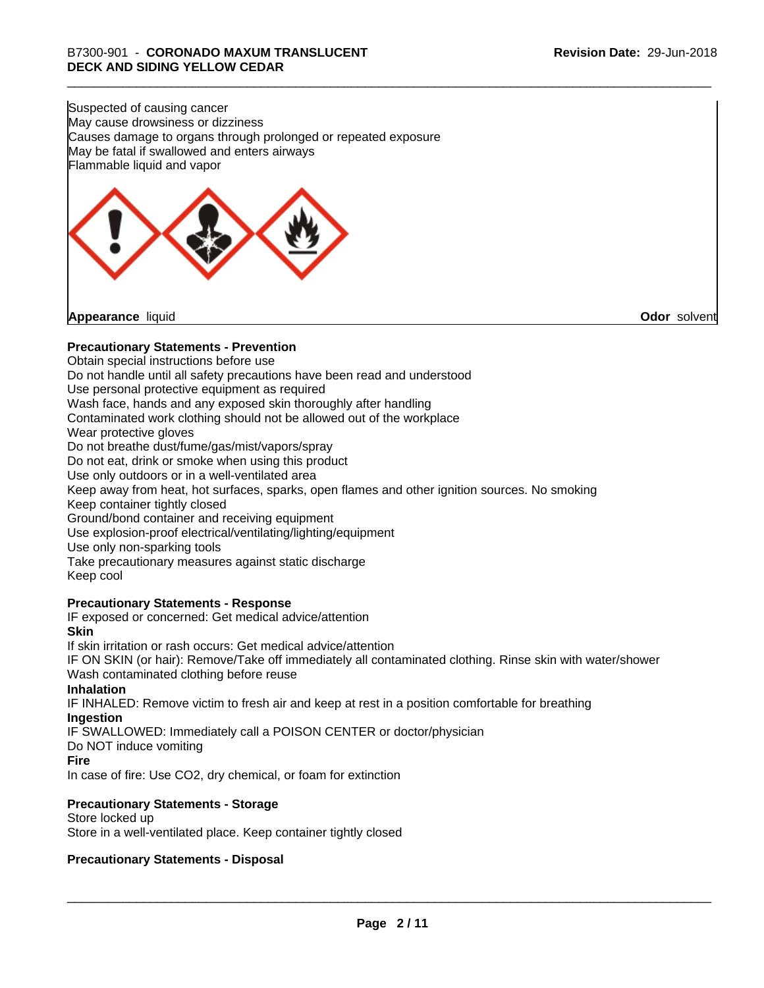Suspected of causing cancer May cause drowsiness or dizziness Causes damage to organs through prolonged or repeated exposure May be fatal if swallowed and enters airways Flammable liquid and vapor

**Appearance** liquid **Odor** solvent

#### **Precautionary Statements - Prevention**

Obtain special instructions before use Do not handle until all safety precautions have been read and understood Use personal protective equipment as required Wash face, hands and any exposed skin thoroughly after handling Contaminated work clothing should not be allowed out of the workplace Wear protective gloves Do not breathe dust/fume/gas/mist/vapors/spray Do not eat, drink or smoke when using this product Use only outdoors or in a well-ventilated area Keep away from heat, hot surfaces, sparks, open flames and other ignition sources. No smoking Keep container tightly closed Ground/bond container and receiving equipment Use explosion-proof electrical/ventilating/lighting/equipment Use only non-sparking tools Take precautionary measures against static discharge Keep cool **Precautionary Statements - Response** IF exposed or concerned: Get medical advice/attention **Skin** If skin irritation or rash occurs: Get medical advice/attention

IF ON SKIN (or hair): Remove/Take off immediately all contaminated clothing. Rinse skin with water/shower Wash contaminated clothing before reuse

#### **Inhalation**

IF INHALED: Remove victim to fresh air and keep at rest in a position comfortable for breathing **Ingestion**

IF SWALLOWED: Immediately call a POISON CENTER or doctor/physician

Do NOT induce vomiting

#### **Fire**

In case of fire: Use CO2, dry chemical, or foam for extinction

#### **Precautionary Statements - Storage**

Store locked up Store in a well-ventilated place. Keep container tightly closed

#### **Precautionary Statements - Disposal**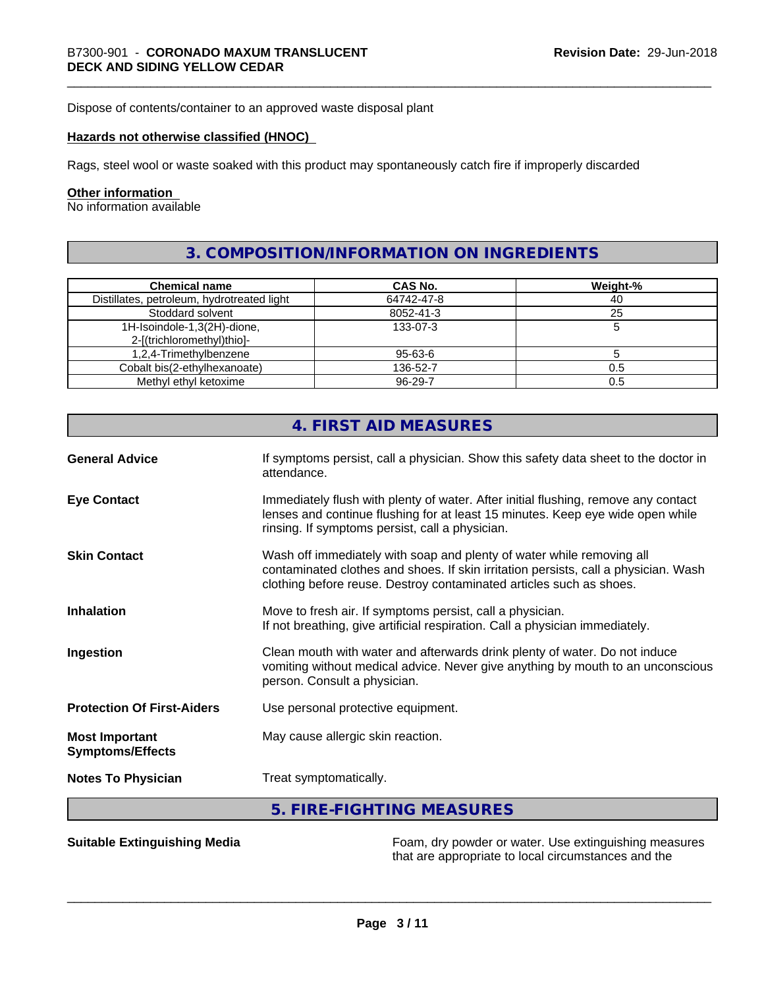Dispose of contents/container to an approved waste disposal plant

#### **Hazards not otherwise classified (HNOC)**

Rags, steel wool or waste soaked with this product may spontaneously catch fire if improperly discarded

#### **Other information**

No information available

## **3. COMPOSITION/INFORMATION ON INGREDIENTS**

| <b>Chemical name</b>                       | CAS No.       | Weight-% |
|--------------------------------------------|---------------|----------|
| Distillates, petroleum, hydrotreated light | 64742-47-8    | 40       |
| Stoddard solvent                           | 8052-41-3     | 25       |
| 1H-Isoindole-1,3(2H)-dione,                | 133-07-3      |          |
| 2-[(trichloromethyl)thio]-                 |               |          |
| 1,2,4-Trimethylbenzene                     | $95 - 63 - 6$ |          |
| Cobalt bis(2-ethylhexanoate)               | 136-52-7      | 0.5      |
| Methyl ethyl ketoxime                      | 96-29-7       | 0.5      |

|                                                  | 4. FIRST AID MEASURES                                                                                                                                                                                                               |  |
|--------------------------------------------------|-------------------------------------------------------------------------------------------------------------------------------------------------------------------------------------------------------------------------------------|--|
| <b>General Advice</b>                            | If symptoms persist, call a physician. Show this safety data sheet to the doctor in<br>attendance.                                                                                                                                  |  |
| <b>Eye Contact</b>                               | Immediately flush with plenty of water. After initial flushing, remove any contact<br>lenses and continue flushing for at least 15 minutes. Keep eye wide open while<br>rinsing. If symptoms persist, call a physician.             |  |
| <b>Skin Contact</b>                              | Wash off immediately with soap and plenty of water while removing all<br>contaminated clothes and shoes. If skin irritation persists, call a physician. Wash<br>clothing before reuse. Destroy contaminated articles such as shoes. |  |
| <b>Inhalation</b>                                | Move to fresh air. If symptoms persist, call a physician.<br>If not breathing, give artificial respiration. Call a physician immediately.                                                                                           |  |
| Ingestion                                        | Clean mouth with water and afterwards drink plenty of water. Do not induce<br>vomiting without medical advice. Never give anything by mouth to an unconscious<br>person. Consult a physician.                                       |  |
| <b>Protection Of First-Aiders</b>                | Use personal protective equipment.                                                                                                                                                                                                  |  |
| <b>Most Important</b><br><b>Symptoms/Effects</b> | May cause allergic skin reaction.                                                                                                                                                                                                   |  |
| <b>Notes To Physician</b>                        | Treat symptomatically.                                                                                                                                                                                                              |  |
|                                                  | 5. FIRE-FIGHTING MEASURES                                                                                                                                                                                                           |  |

**Suitable Extinguishing Media** Foam, dry powder or water. Use extinguishing measures that are appropriate to local circumstances and the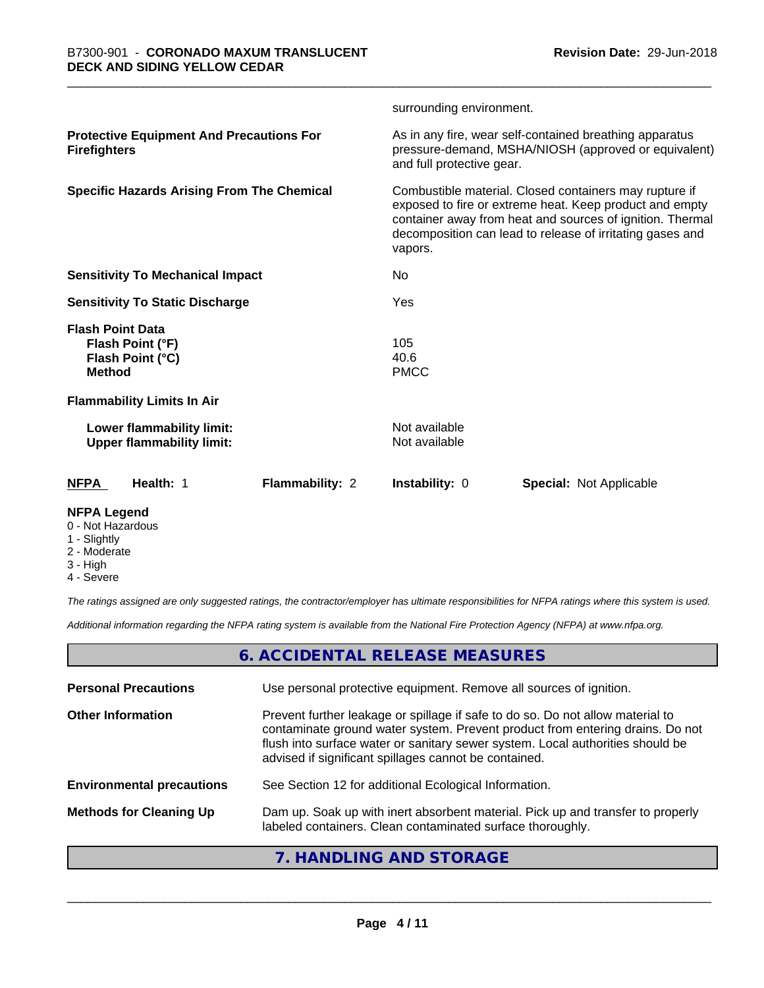|                                                                                  |                        | surrounding environment.                                                                                                                                                                                                                               |                                                                                                                 |  |
|----------------------------------------------------------------------------------|------------------------|--------------------------------------------------------------------------------------------------------------------------------------------------------------------------------------------------------------------------------------------------------|-----------------------------------------------------------------------------------------------------------------|--|
| <b>Protective Equipment And Precautions For</b><br><b>Firefighters</b>           |                        | and full protective gear.                                                                                                                                                                                                                              | As in any fire, wear self-contained breathing apparatus<br>pressure-demand, MSHA/NIOSH (approved or equivalent) |  |
| <b>Specific Hazards Arising From The Chemical</b>                                |                        | Combustible material. Closed containers may rupture if<br>exposed to fire or extreme heat. Keep product and empty<br>container away from heat and sources of ignition. Thermal<br>decomposition can lead to release of irritating gases and<br>vapors. |                                                                                                                 |  |
| <b>Sensitivity To Mechanical Impact</b>                                          |                        | No                                                                                                                                                                                                                                                     |                                                                                                                 |  |
| <b>Sensitivity To Static Discharge</b>                                           |                        | Yes                                                                                                                                                                                                                                                    |                                                                                                                 |  |
| <b>Flash Point Data</b><br>Flash Point (°F)<br>Flash Point (°C)<br><b>Method</b> |                        | 105<br>40.6<br><b>PMCC</b>                                                                                                                                                                                                                             |                                                                                                                 |  |
| <b>Flammability Limits In Air</b>                                                |                        |                                                                                                                                                                                                                                                        |                                                                                                                 |  |
| Lower flammability limit:<br><b>Upper flammability limit:</b>                    |                        | Not available<br>Not available                                                                                                                                                                                                                         |                                                                                                                 |  |
| Health: 1<br><b>NFPA</b>                                                         | <b>Flammability: 2</b> | <b>Instability: 0</b>                                                                                                                                                                                                                                  | <b>Special: Not Applicable</b>                                                                                  |  |
| <b>NFPA Legend</b>                                                               |                        |                                                                                                                                                                                                                                                        |                                                                                                                 |  |

- 0 Not Hazardous
- 1 Slightly
- 2 Moderate
- 3 High
- 4 Severe

*The ratings assigned are only suggested ratings, the contractor/employer has ultimate responsibilities for NFPA ratings where this system is used.*

*Additional information regarding the NFPA rating system is available from the National Fire Protection Agency (NFPA) at www.nfpa.org.*

## **6. ACCIDENTAL RELEASE MEASURES**

| <b>Personal Precautions</b>      | Use personal protective equipment. Remove all sources of ignition.                                                                                                                                                                                                                                         |
|----------------------------------|------------------------------------------------------------------------------------------------------------------------------------------------------------------------------------------------------------------------------------------------------------------------------------------------------------|
| <b>Other Information</b>         | Prevent further leakage or spillage if safe to do so. Do not allow material to<br>contaminate ground water system. Prevent product from entering drains. Do not<br>flush into surface water or sanitary sewer system. Local authorities should be<br>advised if significant spillages cannot be contained. |
| <b>Environmental precautions</b> | See Section 12 for additional Ecological Information.                                                                                                                                                                                                                                                      |
| <b>Methods for Cleaning Up</b>   | Dam up. Soak up with inert absorbent material. Pick up and transfer to properly<br>labeled containers. Clean contaminated surface thoroughly.                                                                                                                                                              |
|                                  |                                                                                                                                                                                                                                                                                                            |

#### **7. HANDLING AND STORAGE**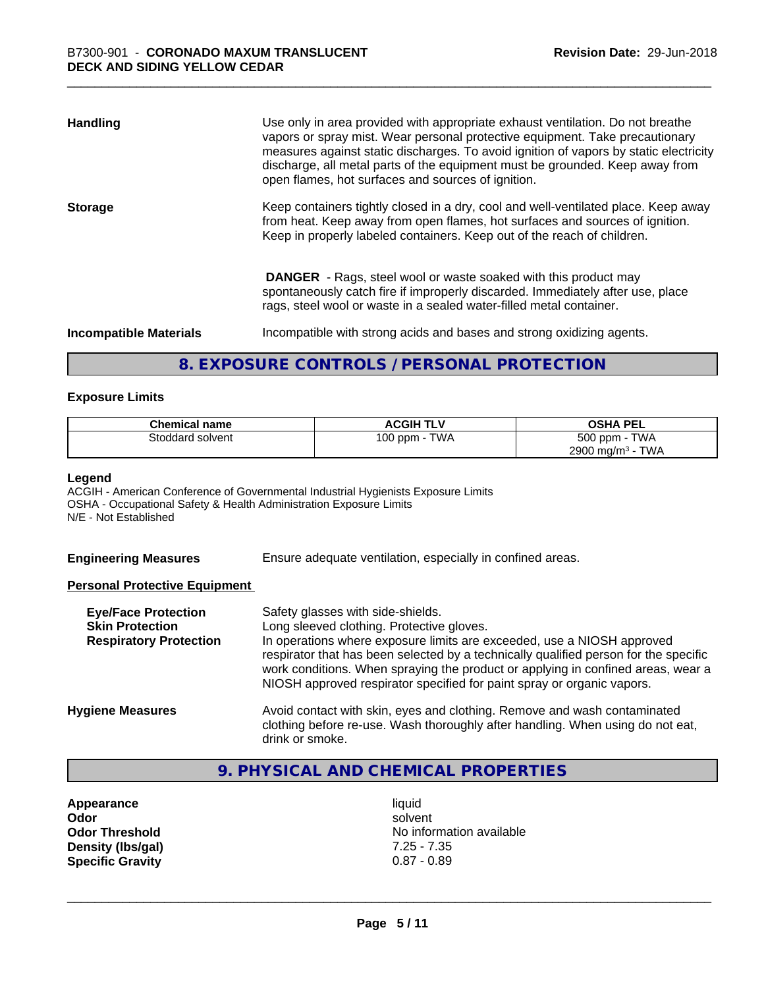| <b>Handling</b>               | Use only in area provided with appropriate exhaust ventilation. Do not breathe<br>vapors or spray mist. Wear personal protective equipment. Take precautionary<br>measures against static discharges. To avoid ignition of vapors by static electricity<br>discharge, all metal parts of the equipment must be grounded. Keep away from<br>open flames, hot surfaces and sources of ignition. |
|-------------------------------|-----------------------------------------------------------------------------------------------------------------------------------------------------------------------------------------------------------------------------------------------------------------------------------------------------------------------------------------------------------------------------------------------|
| <b>Storage</b>                | Keep containers tightly closed in a dry, cool and well-ventilated place. Keep away<br>from heat. Keep away from open flames, hot surfaces and sources of ignition.<br>Keep in properly labeled containers. Keep out of the reach of children.                                                                                                                                                 |
|                               | <b>DANGER</b> - Rags, steel wool or waste soaked with this product may<br>spontaneously catch fire if improperly discarded. Immediately after use, place<br>rags, steel wool or waste in a sealed water-filled metal container.                                                                                                                                                               |
| <b>Incompatible Materials</b> | Incompatible with strong acids and bases and strong oxidizing agents.                                                                                                                                                                                                                                                                                                                         |

## **8. EXPOSURE CONTROLS / PERSONAL PROTECTION**

#### **Exposure Limits**

| <b>Chemical name</b> | <b>ACGIH TLV</b> | <b>OSHA PEL</b>                        |
|----------------------|------------------|----------------------------------------|
| Stoddard solvent     | TWA<br>100 ppm   | 500 ppm -<br><b>TWA</b>                |
|                      |                  | <b>TWA</b><br>2900 mg/m <sup>3</sup> - |

#### **Legend**

ACGIH - American Conference of Governmental Industrial Hygienists Exposure Limits OSHA - Occupational Safety & Health Administration Exposure Limits N/E - Not Established

**Engineering Measures** Ensure adequate ventilation, especially in confined areas.

#### **Personal Protective Equipment**

| <b>Eye/Face Protection</b><br><b>Skin Protection</b><br><b>Respiratory Protection</b> | Safety glasses with side-shields.<br>Long sleeved clothing. Protective gloves.<br>In operations where exposure limits are exceeded, use a NIOSH approved<br>respirator that has been selected by a technically qualified person for the specific<br>work conditions. When spraying the product or applying in confined areas, wear a<br>NIOSH approved respirator specified for paint spray or organic vapors. |
|---------------------------------------------------------------------------------------|----------------------------------------------------------------------------------------------------------------------------------------------------------------------------------------------------------------------------------------------------------------------------------------------------------------------------------------------------------------------------------------------------------------|
| <b>Hygiene Measures</b>                                                               | Avoid contact with skin, eyes and clothing. Remove and wash contaminated<br>clothing before re-use. Wash thoroughly after handling. When using do not eat,<br>drink or smoke.                                                                                                                                                                                                                                  |

# **9. PHYSICAL AND CHEMICAL PROPERTIES**

**Appearance** liquid<br> **Appearance** liquid<br> **Odor** solver **Density (lbs/gal)** 7.25 - 7.35<br>**Specific Gravity** 0.87 - 0.89 **Specific Gravity** 

**Odor** solvent **Odor Threshold** No information available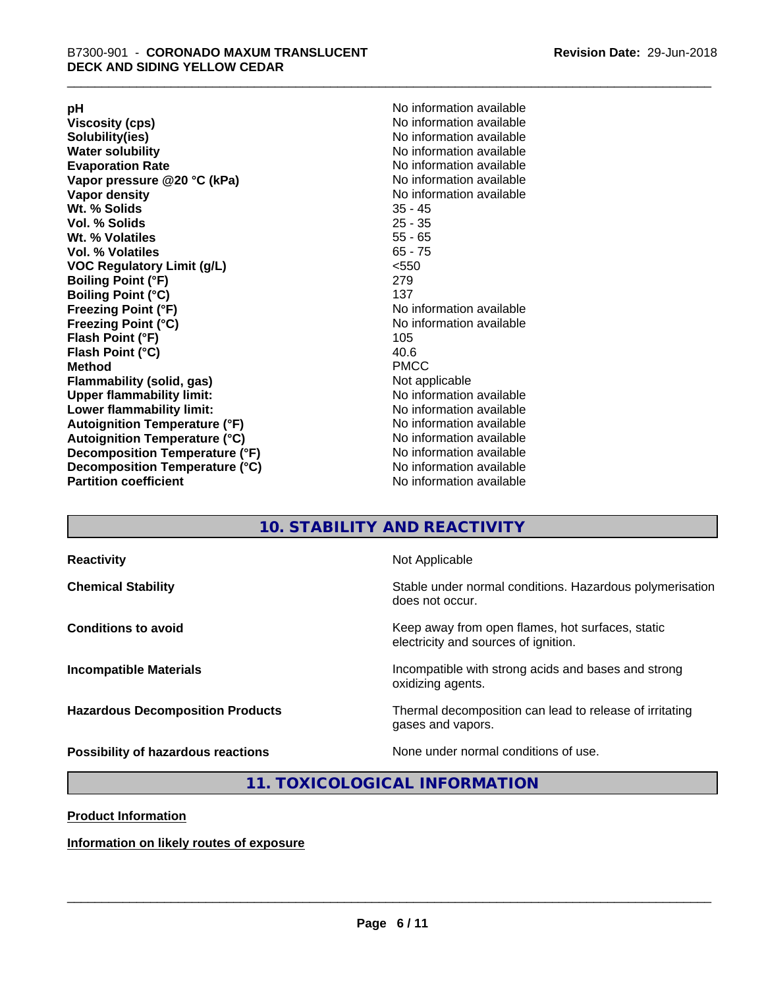**Viscosity (cps)** <br> **Viscosity (cps)** No information available<br>
No information available<br>
No information available **Water solubility**<br> **Evaporation Rate**<br> **Evaporation Rate**<br> **Evaporation Rate Vapor** pressure @20 °C (kPa) **Vapor density No information available Wt. % Solids** 35 - 45 **Vol. % Solids Wt. % Volatiles** 55 - 65 **Vol. % Volatiles** 65 - 75 **VOC Regulatory Limit (g/L)** <550 **Boiling Point (°F)** 279 **Boiling Point (°C)**<br>Freezing Point (°F) **Freezing Point (°C)** No information available **Flash Point (°F)** 105 **Flash Point (°C)** 40.6 **Method** PMCC **Flammability (solid, gas)** Not applicable **Upper flammability limit:** No information available **Lower flammability limit:** No information available **Autoignition Temperature (°F)** No information available **Autoignition Temperature (°C)** No information available **Decomposition Temperature (°F)** No information available **Decomposition Temperature (°C)** No information available<br> **Partition coefficient Partition available** 

**pH**<br>
Viscosity (cps) The Contract of the Contract of No information available<br>
No information available **Solubility(ies)** No information available No information available<br>No information available **No information available No information available** 

### **10. STABILITY AND REACTIVITY**

| <b>Reactivity</b>                         | Not Applicable                                                                           |
|-------------------------------------------|------------------------------------------------------------------------------------------|
| <b>Chemical Stability</b>                 | Stable under normal conditions. Hazardous polymerisation<br>does not occur.              |
| <b>Conditions to avoid</b>                | Keep away from open flames, hot surfaces, static<br>electricity and sources of ignition. |
| <b>Incompatible Materials</b>             | Incompatible with strong acids and bases and strong<br>oxidizing agents.                 |
| <b>Hazardous Decomposition Products</b>   | Thermal decomposition can lead to release of irritating<br>gases and vapors.             |
| <b>Possibility of hazardous reactions</b> | None under normal conditions of use.                                                     |

#### **11. TOXICOLOGICAL INFORMATION**

**Product Information**

**Information on likely routes of exposure**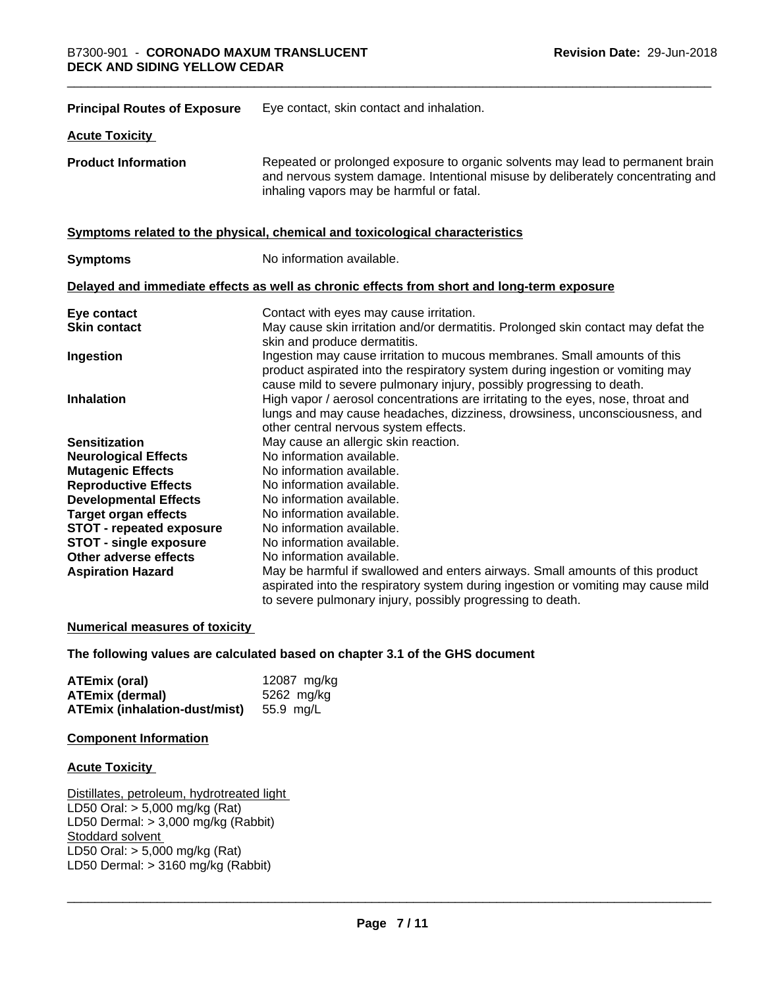| <b>Principal Routes of Exposure</b> | Eye contact, skin contact and inhalation.                                                                                                                                                                                            |
|-------------------------------------|--------------------------------------------------------------------------------------------------------------------------------------------------------------------------------------------------------------------------------------|
| <b>Acute Toxicity</b>               |                                                                                                                                                                                                                                      |
| <b>Product Information</b>          | Repeated or prolonged exposure to organic solvents may lead to permanent brain<br>and nervous system damage. Intentional misuse by deliberately concentrating and<br>inhaling vapors may be harmful or fatal.                        |
|                                     | Symptoms related to the physical, chemical and toxicological characteristics                                                                                                                                                         |
| <b>Symptoms</b>                     | No information available.                                                                                                                                                                                                            |
|                                     | Delayed and immediate effects as well as chronic effects from short and long-term exposure                                                                                                                                           |
| Eye contact                         | Contact with eyes may cause irritation.                                                                                                                                                                                              |
| <b>Skin contact</b>                 | May cause skin irritation and/or dermatitis. Prolonged skin contact may defat the<br>skin and produce dermatitis.                                                                                                                    |
| Ingestion                           | Ingestion may cause irritation to mucous membranes. Small amounts of this<br>product aspirated into the respiratory system during ingestion or vomiting may<br>cause mild to severe pulmonary injury, possibly progressing to death. |
| <b>Inhalation</b>                   | High vapor / aerosol concentrations are irritating to the eyes, nose, throat and<br>lungs and may cause headaches, dizziness, drowsiness, unconsciousness, and<br>other central nervous system effects.                              |
| <b>Sensitization</b>                | May cause an allergic skin reaction.                                                                                                                                                                                                 |
| <b>Neurological Effects</b>         | No information available.                                                                                                                                                                                                            |
| <b>Mutagenic Effects</b>            | No information available.                                                                                                                                                                                                            |
| <b>Reproductive Effects</b>         | No information available.                                                                                                                                                                                                            |
| <b>Developmental Effects</b>        | No information available.                                                                                                                                                                                                            |
| <b>Target organ effects</b>         | No information available.                                                                                                                                                                                                            |
| <b>STOT - repeated exposure</b>     | No information available.                                                                                                                                                                                                            |
| <b>STOT - single exposure</b>       | No information available.                                                                                                                                                                                                            |
| Other adverse effects               | No information available.                                                                                                                                                                                                            |
| <b>Aspiration Hazard</b>            | May be harmful if swallowed and enters airways. Small amounts of this product                                                                                                                                                        |
|                                     | aspirated into the respiratory system during ingestion or vomiting may cause mild<br>to severe pulmonary injury, possibly progressing to death.                                                                                      |

#### **Numerical measures of toxicity**

#### **The following values are calculated based on chapter 3.1 of the GHS document**

| ATEmix (oral)                                  | 12087 mg/kg |
|------------------------------------------------|-------------|
| <b>ATEmix (dermal)</b>                         | 5262 mg/kg  |
| <b>ATEmix (inhalation-dust/mist)</b> 55.9 mg/L |             |

#### **Component Information**

#### **Acute Toxicity**

Distillates, petroleum, hydrotreated light LD50 Oral: > 5,000 mg/kg (Rat) LD50 Dermal: > 3,000 mg/kg (Rabbit) Stoddard solvent LD50 Oral: > 5,000 mg/kg (Rat) LD50 Dermal:  $> 3160$  mg/kg (Rabbit)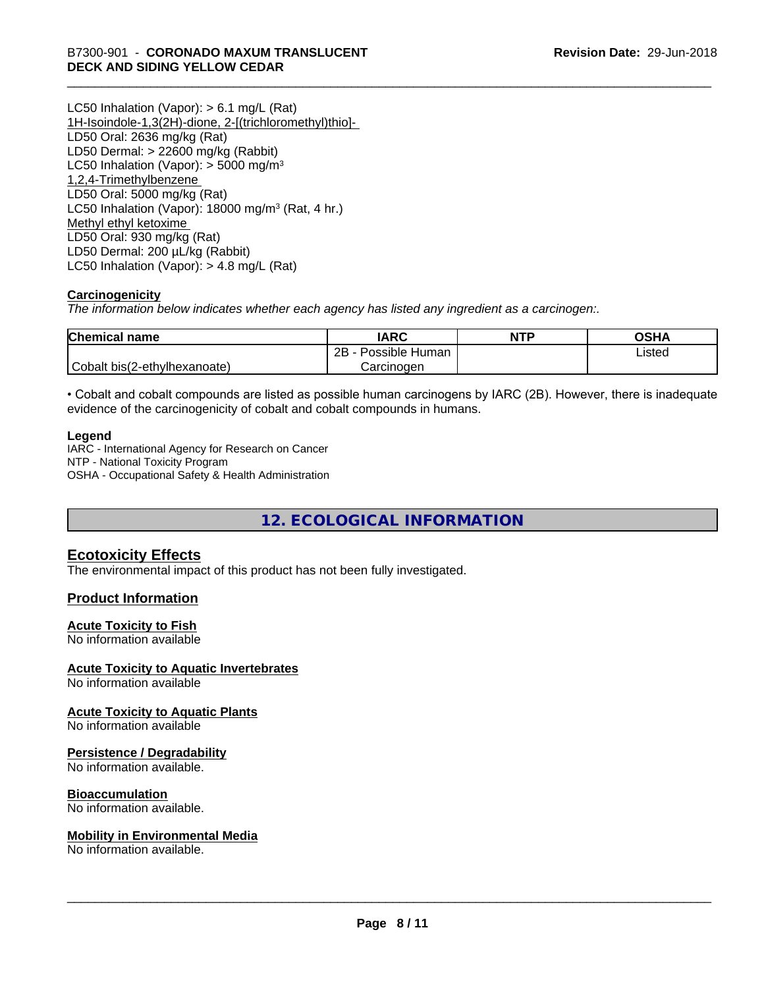LC50 Inhalation (Vapor): > 6.1 mg/L (Rat) 1H-Isoindole-1,3(2H)-dione, 2-[(trichloromethyl)thio]- LD50 Oral: 2636 mg/kg (Rat) LD50 Dermal: > 22600 mg/kg (Rabbit) LC50 Inhalation (Vapor):  $>$  5000 mg/m<sup>3</sup> 1,2,4-Trimethylbenzene LD50 Oral: 5000 mg/kg (Rat) LC50 Inhalation (Vapor): 18000 mg/m<sup>3</sup> (Rat, 4 hr.) Methyl ethyl ketoxime LD50 Oral: 930 mg/kg (Rat) LD50 Dermal: 200 µL/kg (Rabbit) LC50 Inhalation (Vapor): > 4.8 mg/L (Rat)

#### **Carcinogenicity**

*The information below indicateswhether each agency has listed any ingredient as a carcinogen:.*

| <b>Chemical name</b>         | <b>IARC</b>               | <b>NTP</b> | OSHA   |
|------------------------------|---------------------------|------------|--------|
|                              | .<br>2B<br>Possible Human |            | ∟isted |
| Cobalt bis(2-ethylhexanoate) | Carcinoɑen                |            |        |

• Cobalt and cobalt compounds are listed as possible human carcinogens by IARC (2B). However, there is inadequate evidence of the carcinogenicity of cobalt and cobalt compounds in humans.

#### **Legend**

IARC - International Agency for Research on Cancer NTP - National Toxicity Program OSHA - Occupational Safety & Health Administration

**12. ECOLOGICAL INFORMATION**

#### **Ecotoxicity Effects**

The environmental impact of this product has not been fully investigated.

#### **Product Information**

#### **Acute Toxicity to Fish**

No information available

#### **Acute Toxicity to Aquatic Invertebrates**

No information available

#### **Acute Toxicity to Aquatic Plants**

No information available

#### **Persistence / Degradability**

No information available.

#### **Bioaccumulation**

No information available.

#### **Mobility in Environmental Media**

No information available.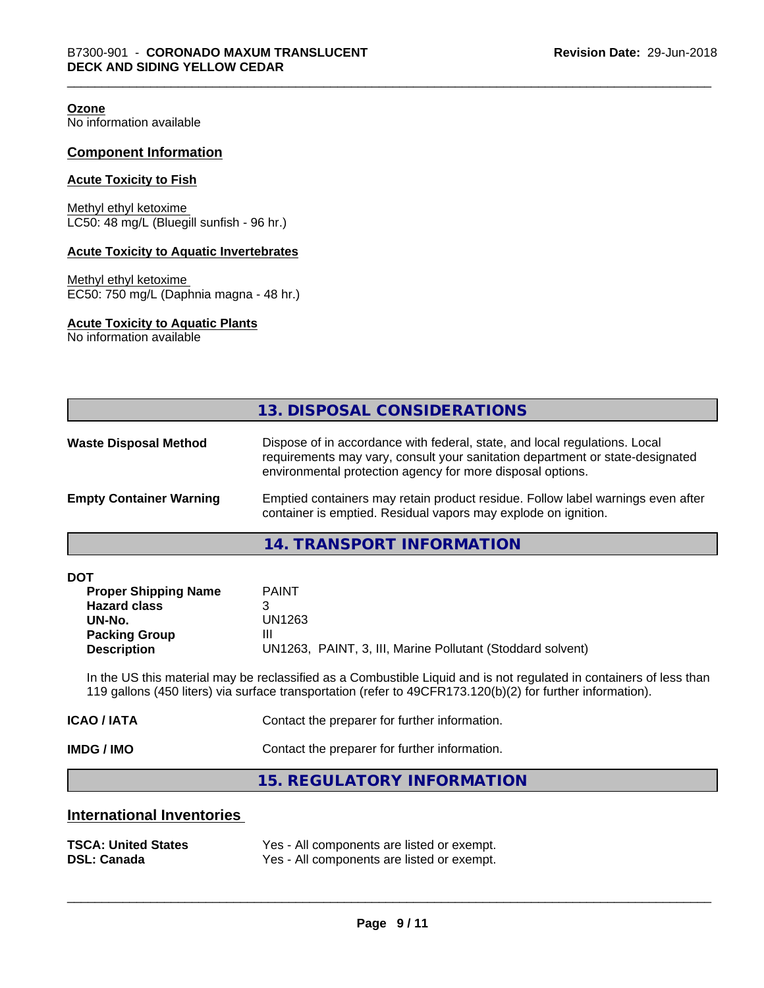**Ozone**

No information available

#### **Component Information**

#### **Acute Toxicity to Fish**

Methyl ethyl ketoxime LC50: 48 mg/L (Bluegill sunfish - 96 hr.)

#### **Acute Toxicity to Aquatic Invertebrates**

Methyl ethyl ketoxime EC50: 750 mg/L (Daphnia magna - 48 hr.)

#### **Acute Toxicity to Aquatic Plants**

No information available

|                                | 13. DISPOSAL CONSIDERATIONS                                                                                                                                                                                               |
|--------------------------------|---------------------------------------------------------------------------------------------------------------------------------------------------------------------------------------------------------------------------|
| <b>Waste Disposal Method</b>   | Dispose of in accordance with federal, state, and local regulations. Local<br>requirements may vary, consult your sanitation department or state-designated<br>environmental protection agency for more disposal options. |
| <b>Empty Container Warning</b> | Emptied containers may retain product residue. Follow label warnings even after<br>container is emptied. Residual vapors may explode on ignition.                                                                         |

**14. TRANSPORT INFORMATION**

| <b>DOT</b> |  |
|------------|--|
|------------|--|

| <b>Proper Shipping Name</b> | <b>PAINT</b>                                               |
|-----------------------------|------------------------------------------------------------|
| <b>Hazard class</b>         |                                                            |
| UN-No.                      | UN1263                                                     |
| <b>Packing Group</b>        | Ш                                                          |
| <b>Description</b>          | UN1263, PAINT, 3, III, Marine Pollutant (Stoddard solvent) |

In the US this material may be reclassified as a Combustible Liquid and is not regulated in containers of less than 119 gallons (450 liters) via surface transportation (refer to 49CFR173.120(b)(2) for further information).

| Contact the preparer for further information. |
|-----------------------------------------------|
| Contact the preparer for further information. |
|                                               |

**15. REGULATORY INFORMATION**

#### **International Inventories**

| <b>TSCA: United States</b> | Yes - All components are listed or exempt. |
|----------------------------|--------------------------------------------|
| <b>DSL: Canada</b>         | Yes - All components are listed or exempt. |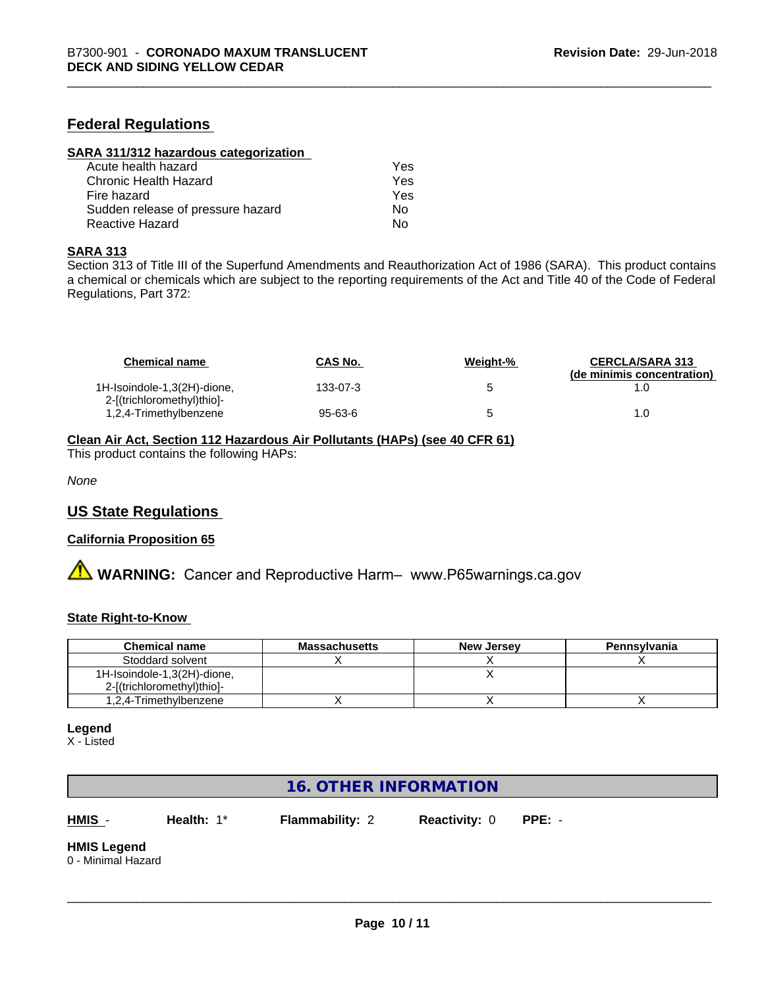#### **Federal Regulations**

| SARA 311/312 hazardous categorization |     |  |
|---------------------------------------|-----|--|
| Acute health hazard                   | Yes |  |
| Chronic Health Hazard                 | Yes |  |
| Fire hazard                           | Yes |  |
| Sudden release of pressure hazard     | Nο  |  |
| Reactive Hazard                       | No  |  |

#### **SARA 313**

Section 313 of Title III of the Superfund Amendments and Reauthorization Act of 1986 (SARA). This product contains a chemical or chemicals which are subject to the reporting requirements of the Act and Title 40 of the Code of Federal Regulations, Part 372:

| <b>Chemical name</b>                                      | <b>CAS No.</b> | Weight-% | <b>CERCLA/SARA 313</b><br>(de minimis concentration) |
|-----------------------------------------------------------|----------------|----------|------------------------------------------------------|
| 1H-Isoindole-1,3(2H)-dione,<br>2-[(trichloromethyl)thio]- | 133-07-3       |          |                                                      |
| 1,2,4-Trimethylbenzene                                    | 95-63-6        |          | 1.0                                                  |

#### **Clean Air Act,Section 112 Hazardous Air Pollutants (HAPs) (see 40 CFR 61)**

This product contains the following HAPs:

*None*

#### **US State Regulations**

#### **California Proposition 65**

**A** WARNING: Cancer and Reproductive Harm– www.P65warnings.ca.gov

#### **State Right-to-Know**

| <b>Chemical name</b>        | <b>Massachusetts</b> | <b>New Jersey</b> | Pennsylvania |
|-----------------------------|----------------------|-------------------|--------------|
| Stoddard solvent            |                      |                   |              |
| 1H-Isoindole-1,3(2H)-dione, |                      |                   |              |
| 2-[(trichloromethyl)thio]-  |                      |                   |              |
| 1,2,4-Trimethylbenzene      |                      |                   |              |

#### **Legend**

X - Listed

### **16. OTHER INFORMATION**

**HMIS** - **Health:** 1\* **Flammability:** 2 **Reactivity:** 0 **PPE:** -

 $\overline{\phantom{a}}$  ,  $\overline{\phantom{a}}$  ,  $\overline{\phantom{a}}$  ,  $\overline{\phantom{a}}$  ,  $\overline{\phantom{a}}$  ,  $\overline{\phantom{a}}$  ,  $\overline{\phantom{a}}$  ,  $\overline{\phantom{a}}$  ,  $\overline{\phantom{a}}$  ,  $\overline{\phantom{a}}$  ,  $\overline{\phantom{a}}$  ,  $\overline{\phantom{a}}$  ,  $\overline{\phantom{a}}$  ,  $\overline{\phantom{a}}$  ,  $\overline{\phantom{a}}$  ,  $\overline{\phantom{a}}$ 

# **HMIS Legend**

0 - Minimal Hazard